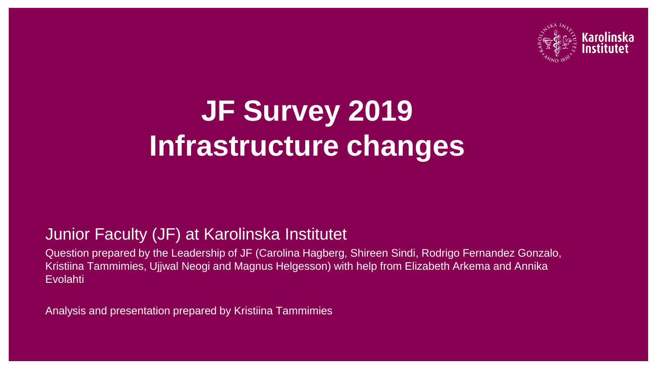

# **JF Survey 2019 Infrastructure changes**

#### Junior Faculty (JF) at Karolinska Institutet

Question prepared by the Leadership of JF (Carolina Hagberg, Shireen Sindi, Rodrigo Fernandez Gonzalo, Kristiina Tammimies, Ujjwal Neogi and Magnus Helgesson) with help from Elizabeth Arkema and Annika Evolahti

Analysis and presentation prepared by Kristiina Tammimies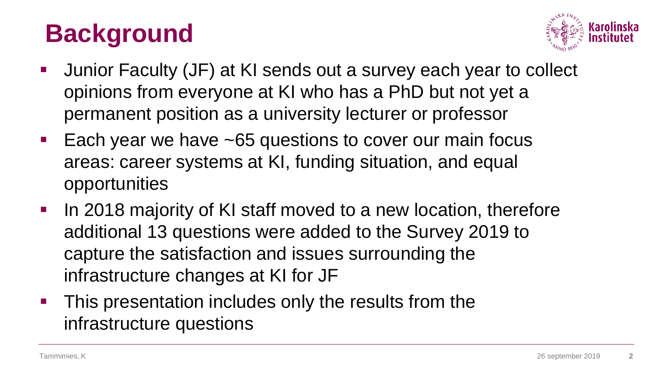### **Background**



- Junior Faculty (JF) at KI sends out a survey each year to collect opinions from everyone at KI who has a PhD but not yet a permanent position as a university lecturer or professor
- **Each year we have ~65 questions to cover our main focus** areas: career systems at KI, funding situation, and equal opportunities
- In 2018 majority of KI staff moved to a new location, therefore additional 13 questions were added to the Survey 2019 to capture the satisfaction and issues surrounding the infrastructure changes at KI for JF
- **This presentation includes only the results from the** infrastructure questions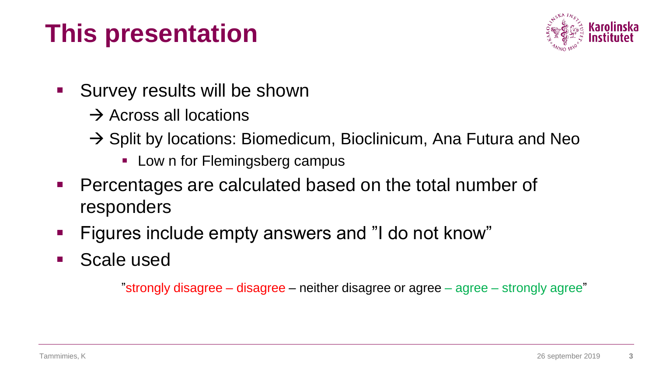### **This presentation**



- **Survey results will be shown** 
	- $\rightarrow$  Across all locations
	- $\rightarrow$  Split by locations: Biomedicum, Bioclinicum, Ana Futura and Neo
		- **Low n for Flemingsberg campus**
- Percentages are calculated based on the total number of responders
- **Figures include empty answers and "I do not know"**
- **Scale used**

"strongly disagree – disagree – neither disagree or agree – agree – strongly agree"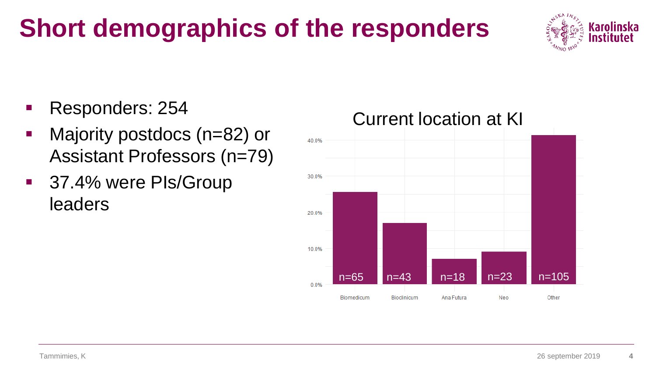### **Short demographics of the responders**



- Responders: 254
- Majority postdocs (n=82) or Assistant Professors (n=79)
- 37.4% were PIs/Group leaders

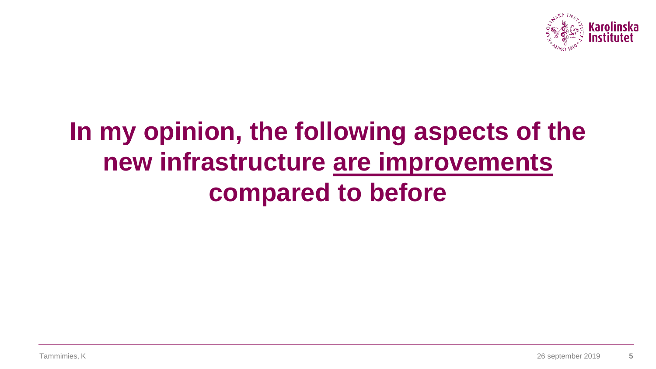

### **In my opinion, the following aspects of the new infrastructure are improvements compared to before**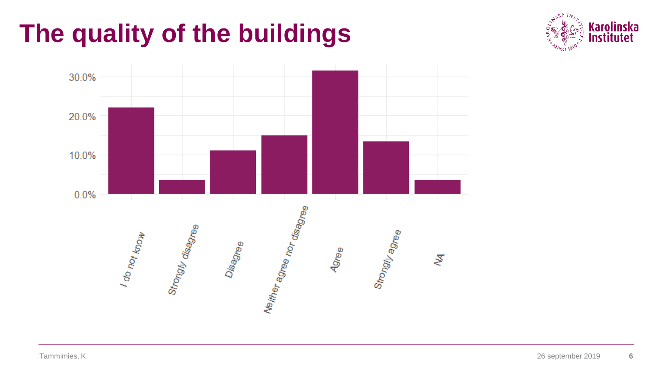### **The quality of the buildings**



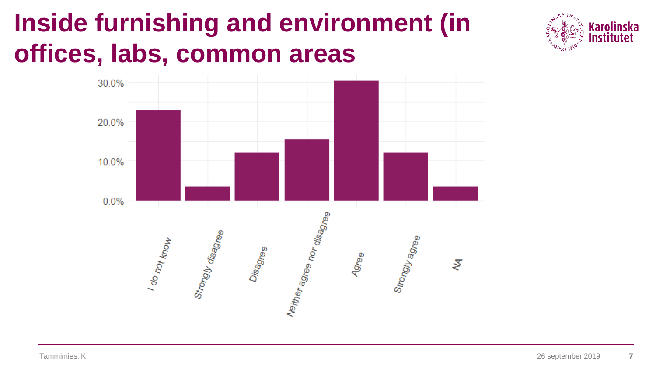### **Inside furnishing and environment (in offices, labs, common areas**



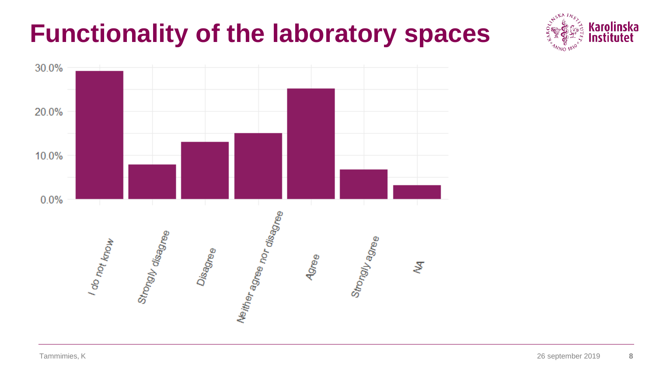### **Functionality of the laboratory spaces**



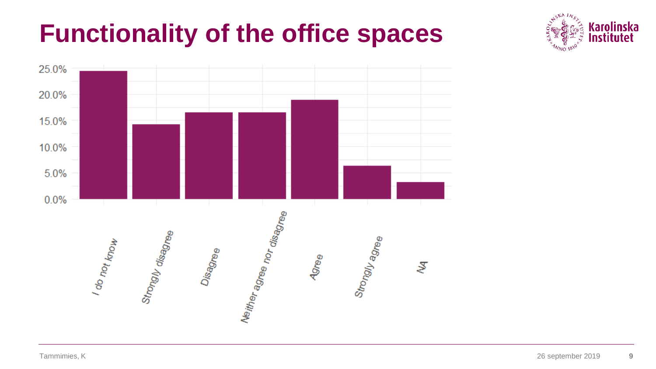### **Functionality of the office spaces**



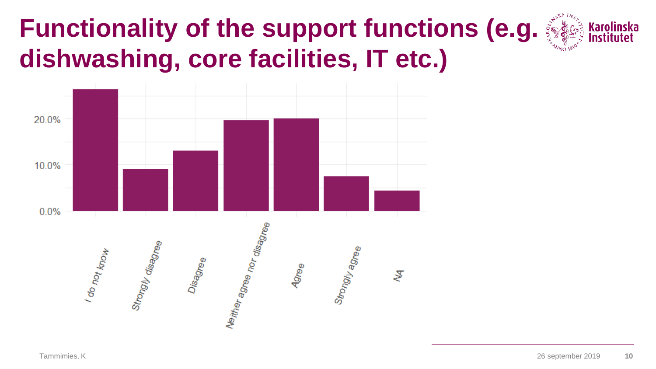#### **Functionality of the support functions (e.g.**  $\frac{1}{2}$ **Karolinska dishwashing, core facilities, IT etc.)**

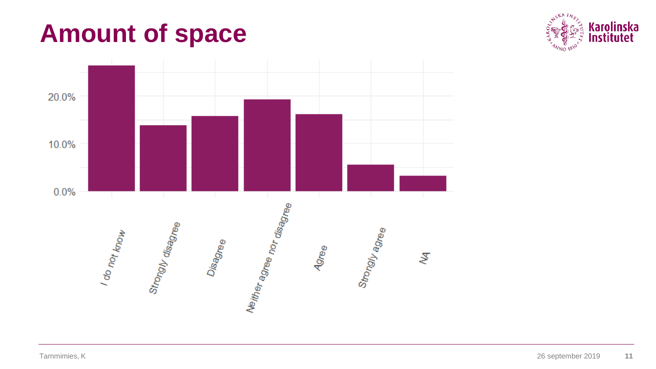### **Amount of space**



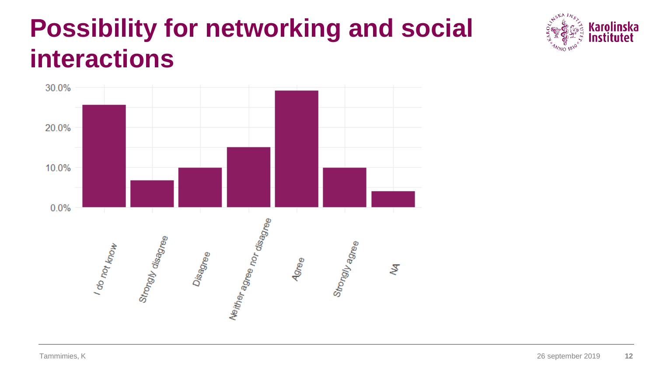### **Possibility for networking and social interactions**



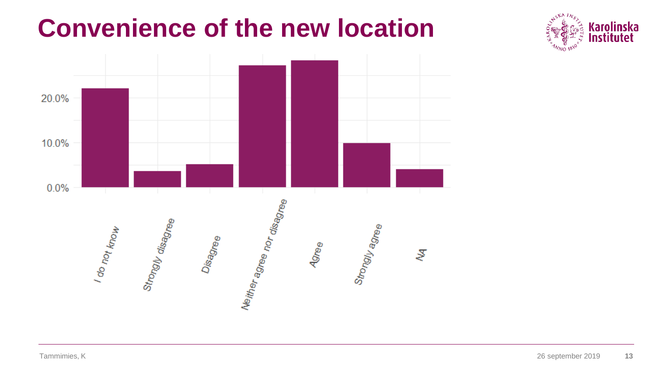### **Convenience of the new location**



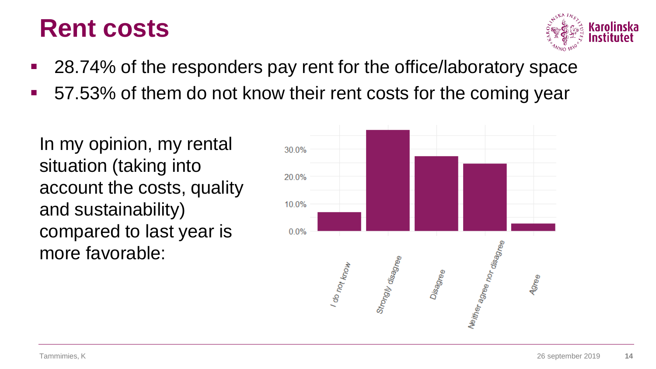### **Rent costs**



- 28.74% of the responders pay rent for the office/laboratory space
- 57.53% of them do not know their rent costs for the coming year

In my opinion, my rental situation (taking into account the costs, quality and sustainability) compared to last year is more favorable:

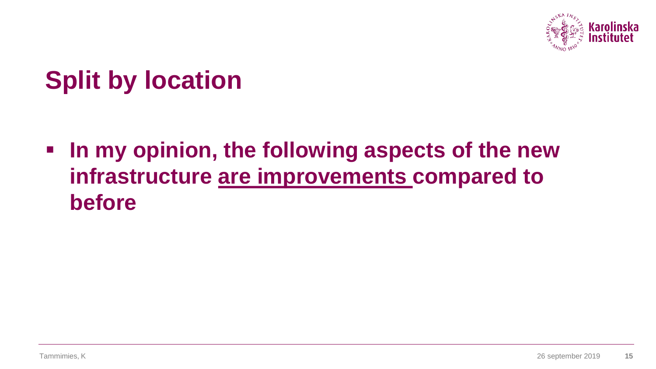

### **Split by location**

**In my opinion, the following aspects of the new infrastructure are improvements compared to before**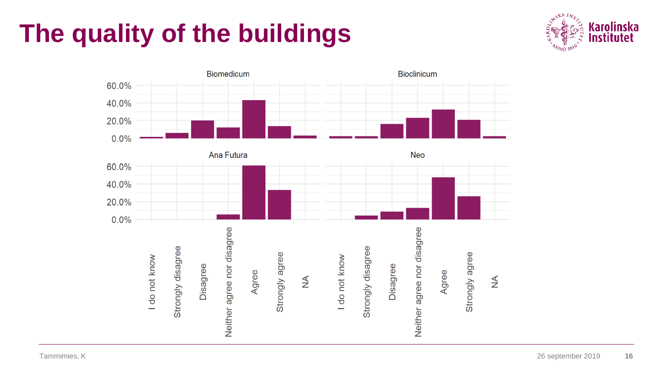### **The quality of the buildings**



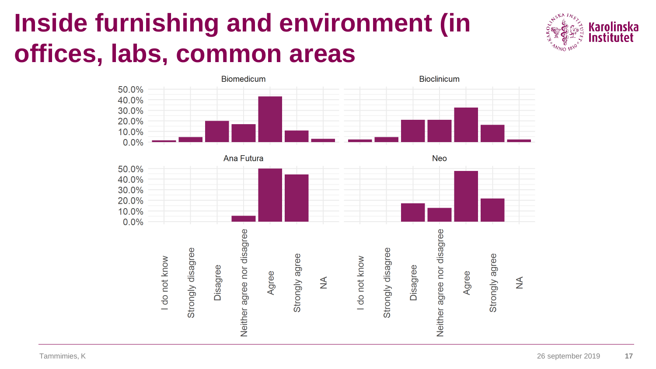### **Inside furnishing and environment (in offices, labs, common areas**





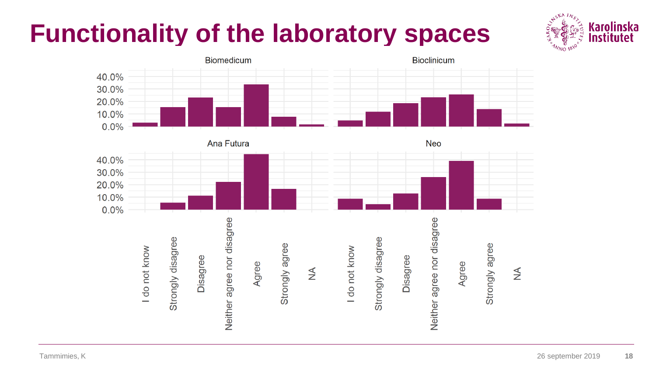### **Functionality of the laboratory spaces**



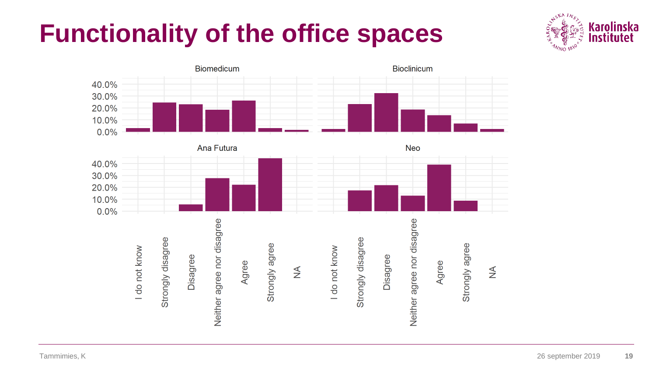### **Functionality of the office spaces**



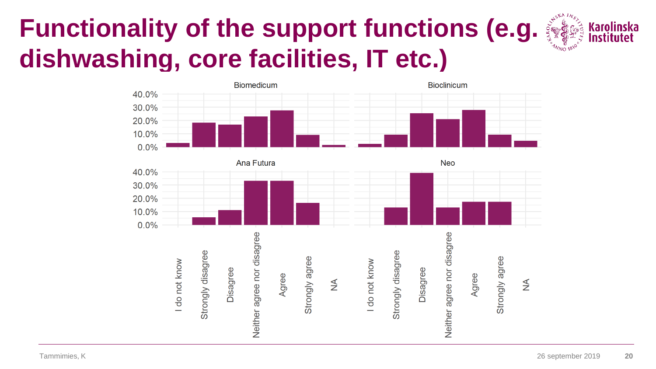## **Functionality of the support functions (e.g.**  $\frac{1}{2}$  **Karolinska Karolinska dishwashing, core facilities, IT etc.)**



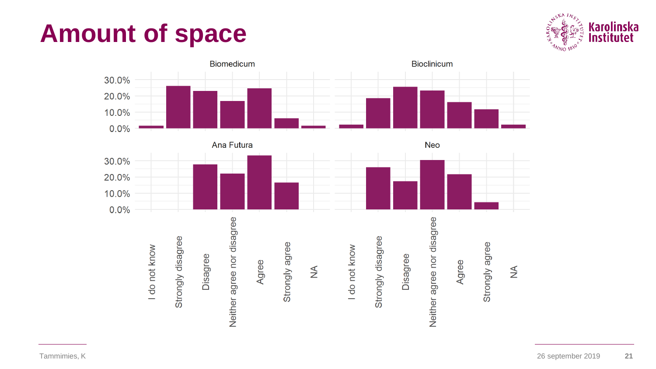### **Amount of space**



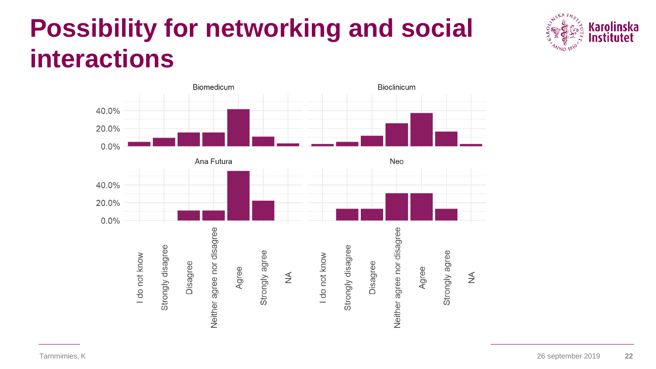### **Possibility for networking and social interactions**



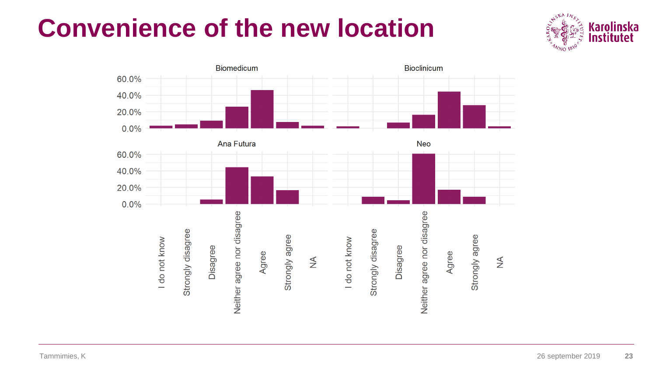### **Convenience of the new location**



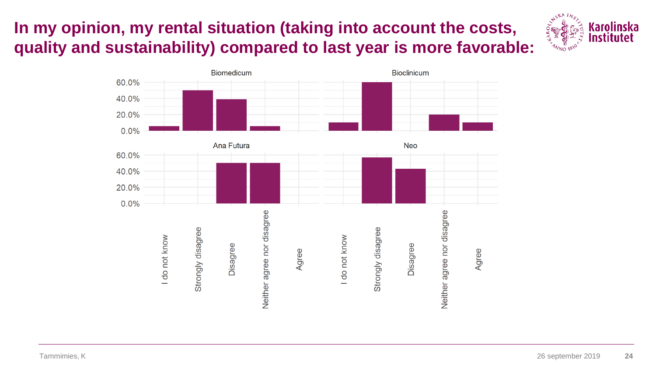### **In my opinion, my rental situation (taking into account the costs,**  *k* **and sustainability) compared to last year is more favorable:**